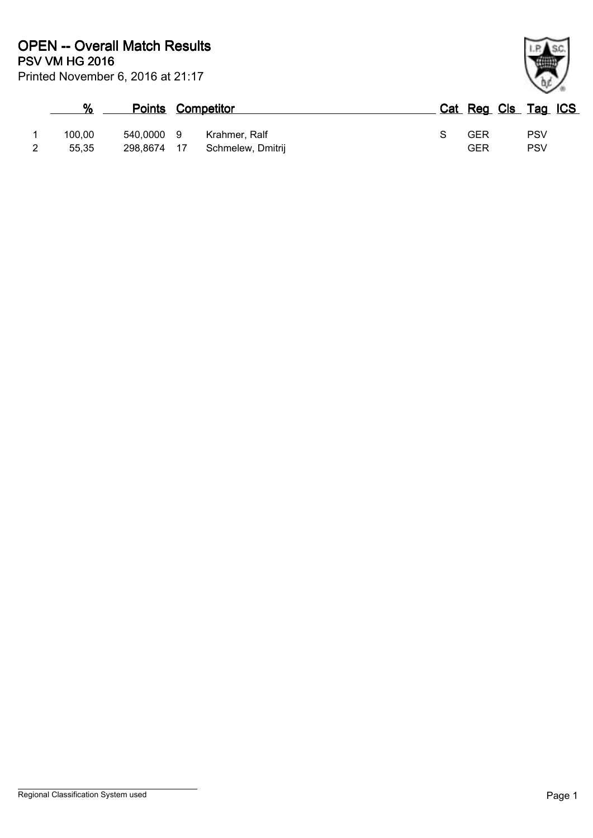|   | %      |             | <b>Points Competitor</b> |                   |  | Cat Reg Cls Tag ICS |     |  |
|---|--------|-------------|--------------------------|-------------------|--|---------------------|-----|--|
|   | 100.00 | 540,0000 9  |                          | Krahmer, Ralf     |  | GER                 | PSV |  |
| 2 | 55,35  | 298,8674 17 |                          | Schmelew, Dmitrij |  | GER                 | PSV |  |

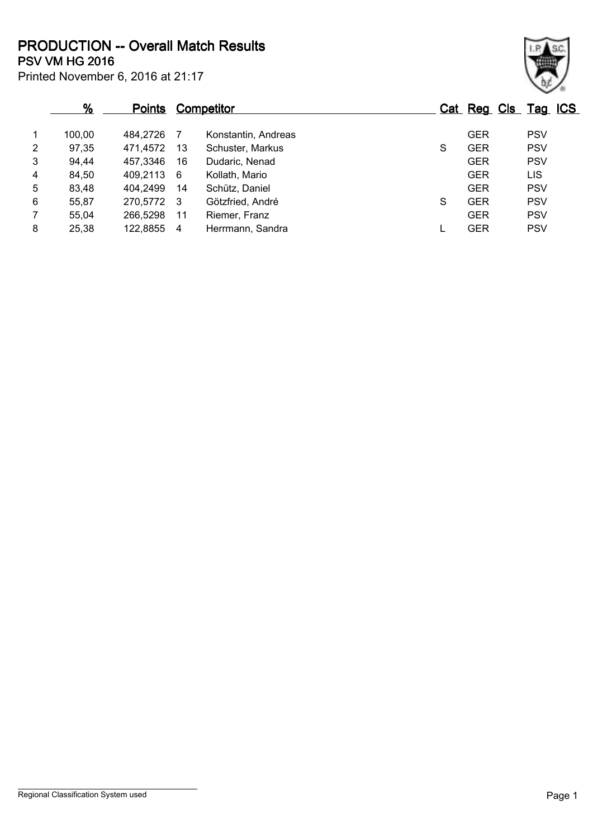Printed November 6, 2016 at 21:17 **PSV VM HG 2016 PRODUCTION -- Overall Match Results**

|                | %      | <b>Points</b> |    | Competitor          |   | Cat Reg Cls Tag ICS |            |  |
|----------------|--------|---------------|----|---------------------|---|---------------------|------------|--|
| $\overline{1}$ | 100,00 | 484,2726      |    | Konstantin, Andreas |   | <b>GER</b>          | <b>PSV</b> |  |
| $\overline{2}$ | 97,35  | 471,4572      | 13 | Schuster, Markus    | S | <b>GER</b>          | <b>PSV</b> |  |
| 3              | 94,44  | 457,3346      | 16 | Dudaric, Nenad      |   | <b>GER</b>          | <b>PSV</b> |  |
| $\overline{4}$ | 84,50  | 409,2113      | -6 | Kollath, Mario      |   | <b>GER</b>          | LIS        |  |
| 5              | 83,48  | 404,2499      | 14 | Schütz, Daniel      |   | <b>GER</b>          | <b>PSV</b> |  |
| 6              | 55,87  | 270,5772 3    |    | Götzfried, André    | S | <b>GER</b>          | <b>PSV</b> |  |
| $\overline{7}$ | 55,04  | 266,5298      | 11 | Riemer, Franz       |   | <b>GER</b>          | <b>PSV</b> |  |
| 8              | 25,38  | 122,8855      | 4  | Herrmann, Sandra    |   | <b>GER</b>          | <b>PSV</b> |  |